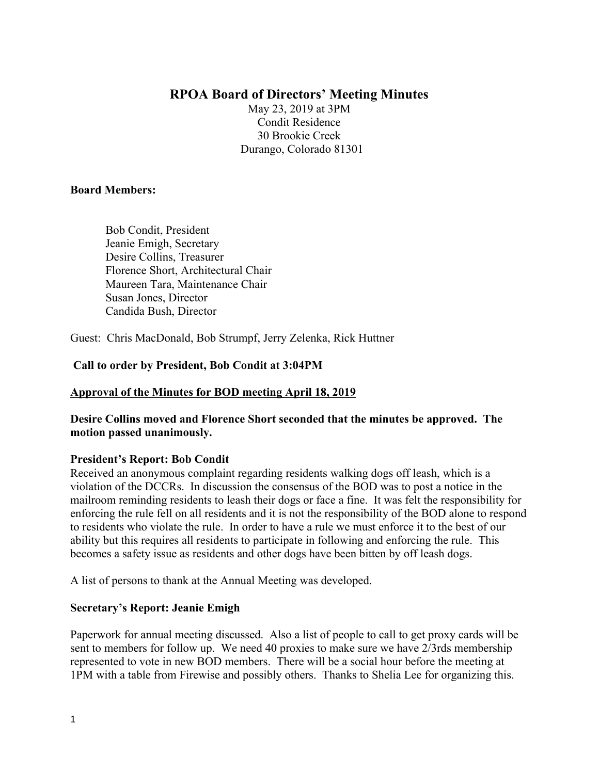# **RPOA Board of Directors' Meeting Minutes**

May 23, 2019 at 3PM Condit Residence 30 Brookie Creek Durango, Colorado 81301

#### **Board Members:**

 Bob Condit, President Jeanie Emigh, Secretary Desire Collins, Treasurer Florence Short, Architectural Chair Maureen Tara, Maintenance Chair Susan Jones, Director Candida Bush, Director

Guest: Chris MacDonald, Bob Strumpf, Jerry Zelenka, Rick Huttner

### **Call to order by President, Bob Condit at 3:04PM**

# **Approval of the Minutes for BOD meeting April 18, 2019**

**Desire Collins moved and Florence Short seconded that the minutes be approved. The motion passed unanimously.**

#### **President's Report: Bob Condit**

Received an anonymous complaint regarding residents walking dogs off leash, which is a violation of the DCCRs. In discussion the consensus of the BOD was to post a notice in the mailroom reminding residents to leash their dogs or face a fine. It was felt the responsibility for enforcing the rule fell on all residents and it is not the responsibility of the BOD alone to respond to residents who violate the rule. In order to have a rule we must enforce it to the best of our ability but this requires all residents to participate in following and enforcing the rule. This becomes a safety issue as residents and other dogs have been bitten by off leash dogs.

A list of persons to thank at the Annual Meeting was developed.

# **Secretary's Report: Jeanie Emigh**

Paperwork for annual meeting discussed. Also a list of people to call to get proxy cards will be sent to members for follow up. We need 40 proxies to make sure we have 2/3rds membership represented to vote in new BOD members. There will be a social hour before the meeting at 1PM with a table from Firewise and possibly others. Thanks to Shelia Lee for organizing this.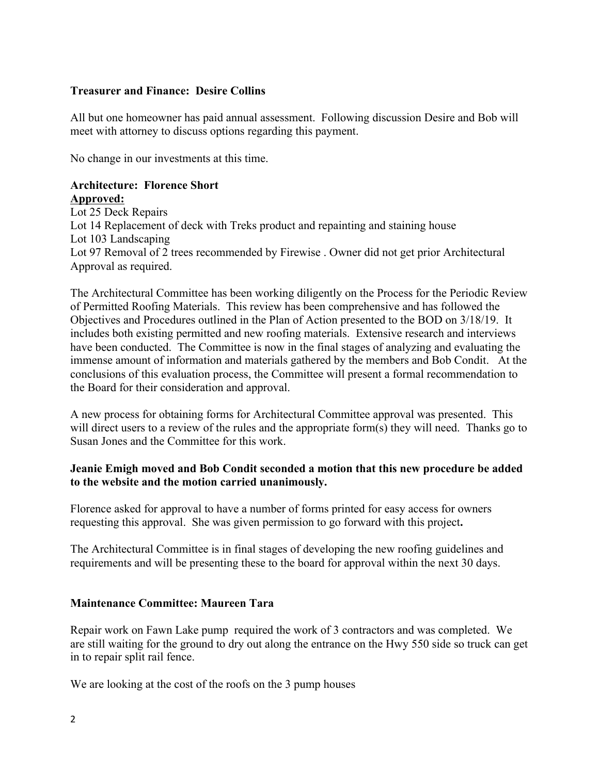# **Treasurer and Finance: Desire Collins**

All but one homeowner has paid annual assessment. Following discussion Desire and Bob will meet with attorney to discuss options regarding this payment.

No change in our investments at this time.

#### **Architecture: Florence Short Approved:**

Lot 25 Deck Repairs Lot 14 Replacement of deck with Treks product and repainting and staining house Lot 103 Landscaping Lot 97 Removal of 2 trees recommended by Firewise . Owner did not get prior Architectural Approval as required.

The Architectural Committee has been working diligently on the Process for the Periodic Review of Permitted Roofing Materials. This review has been comprehensive and has followed the Objectives and Procedures outlined in the Plan of Action presented to the BOD on 3/18/19. It includes both existing permitted and new roofing materials. Extensive research and interviews have been conducted. The Committee is now in the final stages of analyzing and evaluating the immense amount of information and materials gathered by the members and Bob Condit. At the conclusions of this evaluation process, the Committee will present a formal recommendation to the Board for their consideration and approval.

A new process for obtaining forms for Architectural Committee approval was presented. This will direct users to a review of the rules and the appropriate form(s) they will need. Thanks go to Susan Jones and the Committee for this work.

### **Jeanie Emigh moved and Bob Condit seconded a motion that this new procedure be added to the website and the motion carried unanimously.**

Florence asked for approval to have a number of forms printed for easy access for owners requesting this approval. She was given permission to go forward with this project**.** 

The Architectural Committee is in final stages of developing the new roofing guidelines and requirements and will be presenting these to the board for approval within the next 30 days.

#### **Maintenance Committee: Maureen Tara**

Repair work on Fawn Lake pump required the work of 3 contractors and was completed. We are still waiting for the ground to dry out along the entrance on the Hwy 550 side so truck can get in to repair split rail fence.

We are looking at the cost of the roofs on the 3 pump houses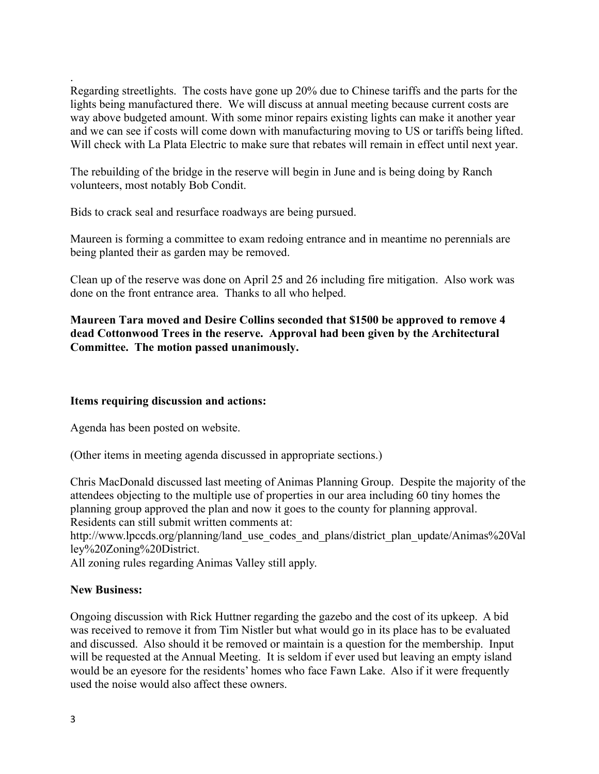Regarding streetlights. The costs have gone up 20% due to Chinese tariffs and the parts for the lights being manufactured there. We will discuss at annual meeting because current costs are way above budgeted amount. With some minor repairs existing lights can make it another year and we can see if costs will come down with manufacturing moving to US or tariffs being lifted. Will check with La Plata Electric to make sure that rebates will remain in effect until next year.

The rebuilding of the bridge in the reserve will begin in June and is being doing by Ranch volunteers, most notably Bob Condit.

Bids to crack seal and resurface roadways are being pursued.

Maureen is forming a committee to exam redoing entrance and in meantime no perennials are being planted their as garden may be removed.

Clean up of the reserve was done on April 25 and 26 including fire mitigation. Also work was done on the front entrance area. Thanks to all who helped.

**Maureen Tara moved and Desire Collins seconded that \$1500 be approved to remove 4 dead Cottonwood Trees in the reserve. Approval had been given by the Architectural Committee. The motion passed unanimously.** 

#### **Items requiring discussion and actions:**

Agenda has been posted on website.

(Other items in meeting agenda discussed in appropriate sections.)

Chris MacDonald discussed last meeting of Animas Planning Group. Despite the majority of the attendees objecting to the multiple use of properties in our area including 60 tiny homes the planning group approved the plan and now it goes to the county for planning approval. Residents can still submit written comments at:

http://www.lpccds.org/planning/land\_use\_codes\_and\_plans/district\_plan\_update/Animas%20Val ley%20Zoning%20District.

All zoning rules regarding Animas Valley still apply.

#### **New Business:**

Ongoing discussion with Rick Huttner regarding the gazebo and the cost of its upkeep. A bid was received to remove it from Tim Nistler but what would go in its place has to be evaluated and discussed. Also should it be removed or maintain is a question for the membership. Input will be requested at the Annual Meeting. It is seldom if ever used but leaving an empty island would be an eyesore for the residents' homes who face Fawn Lake. Also if it were frequently used the noise would also affect these owners.

.